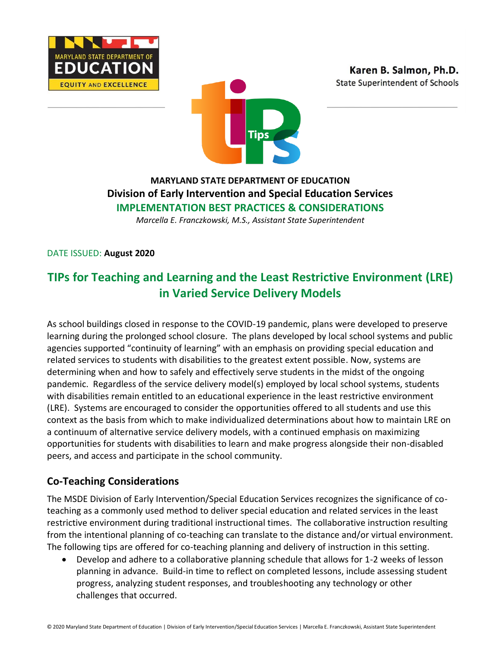





# **MARYLAND STATE DEPARTMENT OF EDUCATION Division of Early Intervention and Special Education Services IMPLEMENTATION BEST PRACTICES & CONSIDERATIONS**

*Marcella E. Franczkowski, M.S., Assistant State Superintendent*

DATE ISSUED: **August 2020**

# **TIPs for Teaching and Learning and the Least Restrictive Environment (LRE) in Varied Service Delivery Models**

As school buildings closed in response to the COVID-19 pandemic, plans were developed to preserve learning during the prolonged school closure. The plans developed by local school systems and public agencies supported "continuity of learning" with an emphasis on providing special education and related services to students with disabilities to the greatest extent possible. Now, systems are determining when and how to safely and effectively serve students in the midst of the ongoing pandemic. Regardless of the service delivery model(s) employed by local school systems, students with disabilities remain entitled to an educational experience in the least restrictive environment (LRE). Systems are encouraged to consider the opportunities offered to all students and use this context as the basis from which to make individualized determinations about how to maintain LRE on a continuum of alternative service delivery models, with a continued emphasis on maximizing opportunities for students with disabilities to learn and make progress alongside their non-disabled peers, and access and participate in the school community.

### **Co-Teaching Considerations**

The MSDE Division of Early Intervention/Special Education Services recognizes the significance of coteaching as a commonly used method to deliver special education and related services in the least restrictive environment during traditional instructional times. The collaborative instruction resulting from the intentional planning of co-teaching can translate to the distance and/or virtual environment. The following tips are offered for co-teaching planning and delivery of instruction in this setting.

• Develop and adhere to a collaborative planning schedule that allows for 1-2 weeks of lesson planning in advance. Build-in time to reflect on completed lessons, include assessing student progress, analyzing student responses, and troubleshooting any technology or other challenges that occurred.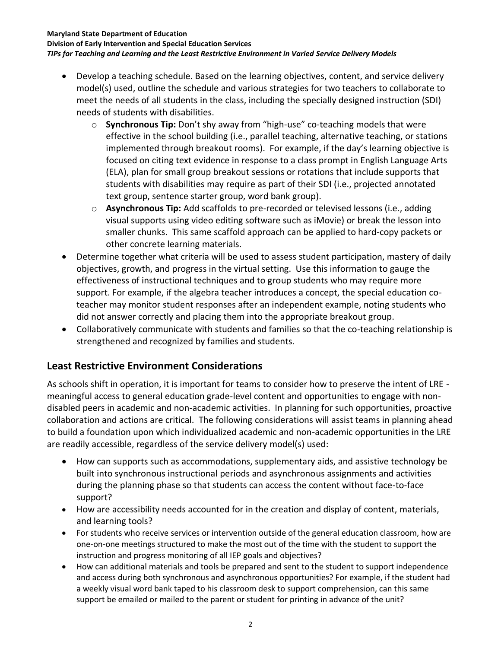#### **Maryland State Department of Education**

**Division of Early Intervention and Special Education Services**

#### *TIPs for Teaching and Learning and the Least Restrictive Environment in Varied Service Delivery Models*

- Develop a teaching schedule. Based on the learning objectives, content, and service delivery model(s) used, outline the schedule and various strategies for two teachers to collaborate to meet the needs of all students in the class, including the specially designed instruction (SDI) needs of students with disabilities.
	- o **Synchronous Tip:** Don't shy away from "high-use" co-teaching models that were effective in the school building (i.e., parallel teaching, alternative teaching, or stations implemented through breakout rooms). For example, if the day's learning objective is focused on citing text evidence in response to a class prompt in English Language Arts (ELA), plan for small group breakout sessions or rotations that include supports that students with disabilities may require as part of their SDI (i.e., projected annotated text group, sentence starter group, word bank group).
	- o **Asynchronous Tip:** Add scaffolds to pre-recorded or televised lessons (i.e., adding visual supports using video editing software such as iMovie) or break the lesson into smaller chunks. This same scaffold approach can be applied to hard-copy packets or other concrete learning materials.
- Determine together what criteria will be used to assess student participation, mastery of daily objectives, growth, and progress in the virtual setting. Use this information to gauge the effectiveness of instructional techniques and to group students who may require more support. For example, if the algebra teacher introduces a concept, the special education coteacher may monitor student responses after an independent example, noting students who did not answer correctly and placing them into the appropriate breakout group.
- Collaboratively communicate with students and families so that the co-teaching relationship is strengthened and recognized by families and students.

## **Least Restrictive Environment Considerations**

As schools shift in operation, it is important for teams to consider how to preserve the intent of LRE meaningful access to general education grade-level content and opportunities to engage with nondisabled peers in academic and non-academic activities. In planning for such opportunities, proactive collaboration and actions are critical. The following considerations will assist teams in planning ahead to build a foundation upon which individualized academic and non-academic opportunities in the LRE are readily accessible, regardless of the service delivery model(s) used:

- How can supports such as accommodations, supplementary aids, and assistive technology be built into synchronous instructional periods and asynchronous assignments and activities during the planning phase so that students can access the content without face-to-face support?
- How are accessibility needs accounted for in the creation and display of content, materials, and learning tools?
- For students who receive services or intervention outside of the general education classroom, how are one-on-one meetings structured to make the most out of the time with the student to support the instruction and progress monitoring of all IEP goals and objectives?
- How can additional materials and tools be prepared and sent to the student to support independence and access during both synchronous and asynchronous opportunities? For example, if the student had a weekly visual word bank taped to his classroom desk to support comprehension, can this same support be emailed or mailed to the parent or student for printing in advance of the unit?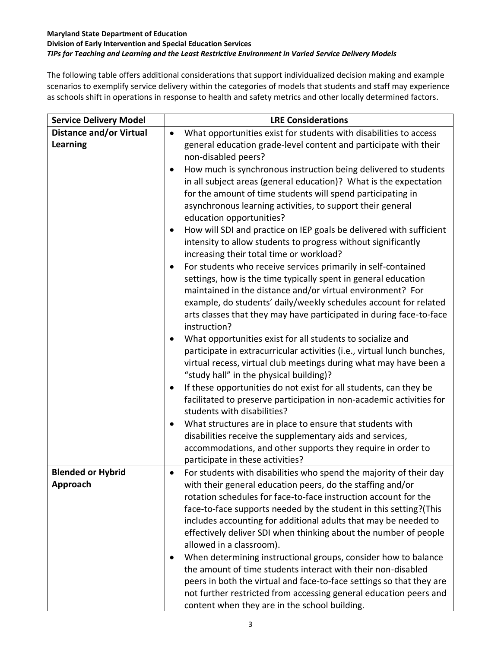#### **Maryland State Department of Education Division of Early Intervention and Special Education Services** *TIPs for Teaching and Learning and the Least Restrictive Environment in Varied Service Delivery Models*

The following table offers additional considerations that support individualized decision making and example scenarios to exemplify service delivery within the categories of models that students and staff may experience as schools shift in operations in response to health and safety metrics and other locally determined factors.

| <b>Service Delivery Model</b>        | <b>LRE Considerations</b>                                                                                                                                                                                                                                                                                                                                                                                                                                                                                                               |  |  |
|--------------------------------------|-----------------------------------------------------------------------------------------------------------------------------------------------------------------------------------------------------------------------------------------------------------------------------------------------------------------------------------------------------------------------------------------------------------------------------------------------------------------------------------------------------------------------------------------|--|--|
| <b>Distance and/or Virtual</b>       | What opportunities exist for students with disabilities to access<br>$\bullet$                                                                                                                                                                                                                                                                                                                                                                                                                                                          |  |  |
| <b>Learning</b>                      | general education grade-level content and participate with their<br>non-disabled peers?                                                                                                                                                                                                                                                                                                                                                                                                                                                 |  |  |
|                                      | How much is synchronous instruction being delivered to students<br>$\bullet$<br>in all subject areas (general education)? What is the expectation<br>for the amount of time students will spend participating in                                                                                                                                                                                                                                                                                                                        |  |  |
|                                      | asynchronous learning activities, to support their general<br>education opportunities?                                                                                                                                                                                                                                                                                                                                                                                                                                                  |  |  |
|                                      | How will SDI and practice on IEP goals be delivered with sufficient<br>intensity to allow students to progress without significantly<br>increasing their total time or workload?                                                                                                                                                                                                                                                                                                                                                        |  |  |
|                                      | For students who receive services primarily in self-contained<br>settings, how is the time typically spent in general education<br>maintained in the distance and/or virtual environment? For<br>example, do students' daily/weekly schedules account for related<br>arts classes that they may have participated in during face-to-face<br>instruction?                                                                                                                                                                                |  |  |
|                                      | What opportunities exist for all students to socialize and<br>participate in extracurricular activities (i.e., virtual lunch bunches,<br>virtual recess, virtual club meetings during what may have been a<br>"study hall" in the physical building)?                                                                                                                                                                                                                                                                                   |  |  |
|                                      | If these opportunities do not exist for all students, can they be<br>facilitated to preserve participation in non-academic activities for<br>students with disabilities?                                                                                                                                                                                                                                                                                                                                                                |  |  |
|                                      | What structures are in place to ensure that students with<br>disabilities receive the supplementary aids and services,<br>accommodations, and other supports they require in order to<br>participate in these activities?                                                                                                                                                                                                                                                                                                               |  |  |
| <b>Blended or Hybrid</b><br>Approach | For students with disabilities who spend the majority of their day<br>$\bullet$<br>with their general education peers, do the staffing and/or<br>rotation schedules for face-to-face instruction account for the<br>face-to-face supports needed by the student in this setting?(This<br>includes accounting for additional adults that may be needed to<br>effectively deliver SDI when thinking about the number of people<br>allowed in a classroom).<br>When determining instructional groups, consider how to balance<br>$\bullet$ |  |  |
|                                      | the amount of time students interact with their non-disabled<br>peers in both the virtual and face-to-face settings so that they are<br>not further restricted from accessing general education peers and<br>content when they are in the school building.                                                                                                                                                                                                                                                                              |  |  |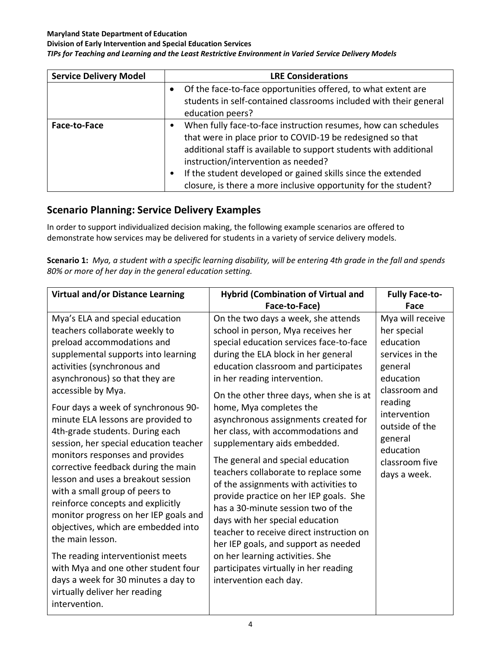#### **Maryland State Department of Education**

**Division of Early Intervention and Special Education Services**

#### *TIPs for Teaching and Learning and the Least Restrictive Environment in Varied Service Delivery Models*

| <b>Service Delivery Model</b> | <b>LRE Considerations</b>                                                                                                                                                                                                                                                                                                                                                   |
|-------------------------------|-----------------------------------------------------------------------------------------------------------------------------------------------------------------------------------------------------------------------------------------------------------------------------------------------------------------------------------------------------------------------------|
|                               | Of the face-to-face opportunities offered, to what extent are<br>students in self-contained classrooms included with their general<br>education peers?                                                                                                                                                                                                                      |
| Face-to-Face                  | When fully face-to-face instruction resumes, how can schedules<br>that were in place prior to COVID-19 be redesigned so that<br>additional staff is available to support students with additional<br>instruction/intervention as needed?<br>If the student developed or gained skills since the extended<br>closure, is there a more inclusive opportunity for the student? |

## **Scenario Planning: Service Delivery Examples**

In order to support individualized decision making, the following example scenarios are offered to demonstrate how services may be delivered for students in a variety of service delivery models.

**Scenario 1:** *Mya, a student with a specific learning disability, will be entering 4th grade in the fall and spends 80% or more of her day in the general education setting.*

| <b>Virtual and/or Distance Learning</b>                                                                                                                                                                                                                                                                                                                                                                                                                                                                                                                                                                                                                                                                                                                                                                                                                 | <b>Hybrid (Combination of Virtual and</b>                                                                                                                                                                                                                                                                                                                                                                                                                                                                                                                                                                                                                                                                                                                                                                                                                  | <b>Fully Face-to-</b>                                                                                                                                                                                           |
|---------------------------------------------------------------------------------------------------------------------------------------------------------------------------------------------------------------------------------------------------------------------------------------------------------------------------------------------------------------------------------------------------------------------------------------------------------------------------------------------------------------------------------------------------------------------------------------------------------------------------------------------------------------------------------------------------------------------------------------------------------------------------------------------------------------------------------------------------------|------------------------------------------------------------------------------------------------------------------------------------------------------------------------------------------------------------------------------------------------------------------------------------------------------------------------------------------------------------------------------------------------------------------------------------------------------------------------------------------------------------------------------------------------------------------------------------------------------------------------------------------------------------------------------------------------------------------------------------------------------------------------------------------------------------------------------------------------------------|-----------------------------------------------------------------------------------------------------------------------------------------------------------------------------------------------------------------|
|                                                                                                                                                                                                                                                                                                                                                                                                                                                                                                                                                                                                                                                                                                                                                                                                                                                         | Face-to-Face)                                                                                                                                                                                                                                                                                                                                                                                                                                                                                                                                                                                                                                                                                                                                                                                                                                              | Face                                                                                                                                                                                                            |
| Mya's ELA and special education<br>teachers collaborate weekly to<br>preload accommodations and<br>supplemental supports into learning<br>activities (synchronous and<br>asynchronous) so that they are<br>accessible by Mya.<br>Four days a week of synchronous 90-<br>minute ELA lessons are provided to<br>4th-grade students. During each<br>session, her special education teacher<br>monitors responses and provides<br>corrective feedback during the main<br>lesson and uses a breakout session<br>with a small group of peers to<br>reinforce concepts and explicitly<br>monitor progress on her IEP goals and<br>objectives, which are embedded into<br>the main lesson.<br>The reading interventionist meets<br>with Mya and one other student four<br>days a week for 30 minutes a day to<br>virtually deliver her reading<br>intervention. | On the two days a week, she attends<br>school in person, Mya receives her<br>special education services face-to-face<br>during the ELA block in her general<br>education classroom and participates<br>in her reading intervention.<br>On the other three days, when she is at<br>home, Mya completes the<br>asynchronous assignments created for<br>her class, with accommodations and<br>supplementary aids embedded.<br>The general and special education<br>teachers collaborate to replace some<br>of the assignments with activities to<br>provide practice on her IEP goals. She<br>has a 30-minute session two of the<br>days with her special education<br>teacher to receive direct instruction on<br>her IEP goals, and support as needed<br>on her learning activities. She<br>participates virtually in her reading<br>intervention each day. | Mya will receive<br>her special<br>education<br>services in the<br>general<br>education<br>classroom and<br>reading<br>intervention<br>outside of the<br>general<br>education<br>classroom five<br>days a week. |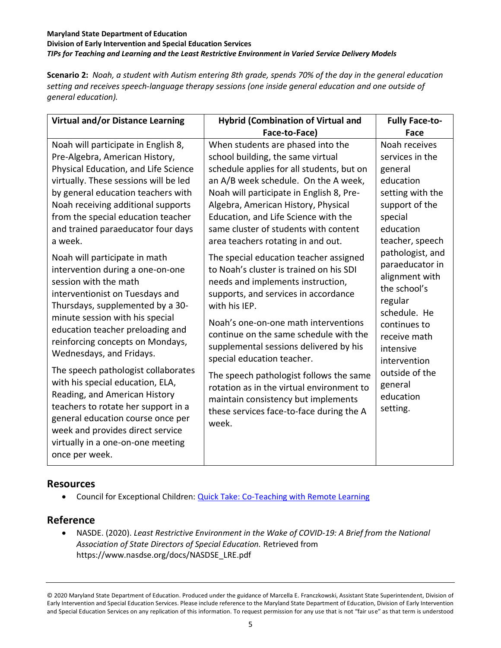#### **Maryland State Department of Education Division of Early Intervention and Special Education Services** *TIPs for Teaching and Learning and the Least Restrictive Environment in Varied Service Delivery Models*

**Scenario 2:** *Noah, a student with Autism entering 8th grade, spends 70% of the day in the general education setting and receives speech-language therapy sessions (one inside general education and one outside of general education).*

| <b>Virtual and/or Distance Learning</b>                                                                                                                                                                                                                                                                                                                                             | <b>Hybrid (Combination of Virtual and</b>                                                                                                                                                                                                                                                                                                                                            | <b>Fully Face-to-</b>                                                                                                                                                           |
|-------------------------------------------------------------------------------------------------------------------------------------------------------------------------------------------------------------------------------------------------------------------------------------------------------------------------------------------------------------------------------------|--------------------------------------------------------------------------------------------------------------------------------------------------------------------------------------------------------------------------------------------------------------------------------------------------------------------------------------------------------------------------------------|---------------------------------------------------------------------------------------------------------------------------------------------------------------------------------|
|                                                                                                                                                                                                                                                                                                                                                                                     | Face-to-Face)                                                                                                                                                                                                                                                                                                                                                                        | Face                                                                                                                                                                            |
| Noah will participate in English 8,<br>Pre-Algebra, American History,<br>Physical Education, and Life Science<br>virtually. These sessions will be led<br>by general education teachers with<br>Noah receiving additional supports<br>from the special education teacher<br>and trained paraeducator four days<br>a week.                                                           | When students are phased into the<br>school building, the same virtual<br>schedule applies for all students, but on<br>an A/B week schedule. On the A week,<br>Noah will participate in English 8, Pre-<br>Algebra, American History, Physical<br>Education, and Life Science with the<br>same cluster of students with content<br>area teachers rotating in and out.                | Noah receives<br>services in the<br>general<br>education<br>setting with the<br>support of the<br>special<br>education<br>teacher, speech                                       |
| Noah will participate in math<br>intervention during a one-on-one<br>session with the math<br>interventionist on Tuesdays and<br>Thursdays, supplemented by a 30-<br>minute session with his special<br>education teacher preloading and<br>reinforcing concepts on Mondays,<br>Wednesdays, and Fridays.<br>The speech pathologist collaborates<br>with his special education, ELA, | The special education teacher assigned<br>to Noah's cluster is trained on his SDI<br>needs and implements instruction,<br>supports, and services in accordance<br>with his IEP.<br>Noah's one-on-one math interventions<br>continue on the same schedule with the<br>supplemental sessions delivered by his<br>special education teacher.<br>The speech pathologist follows the same | pathologist, and<br>paraeducator in<br>alignment with<br>the school's<br>regular<br>schedule. He<br>continues to<br>receive math<br>intensive<br>intervention<br>outside of the |
| Reading, and American History<br>teachers to rotate her support in a<br>general education course once per<br>week and provides direct service<br>virtually in a one-on-one meeting<br>once per week.                                                                                                                                                                                | rotation as in the virtual environment to<br>maintain consistency but implements<br>these services face-to-face during the A<br>week.                                                                                                                                                                                                                                                | general<br>education<br>setting.                                                                                                                                                |

### **Resources**

• Council for Exceptional Children: [Quick Take: Co-Teaching with Remote Learning](https://cec.sped.org/Tools-and-Resources/Resources-for-Teaching-Remotely/Webinars/Quick-Takes-for-Teaching-Online/Quick-Take-Coteaching)

### **Reference**

• NASDE. (2020). *Least Restrictive Environment in the Wake of COVID-19: A Brief from the National Association of State Directors of Special Education.* Retrieved from https://www.nasdse.org/docs/NASDSE\_LRE.pdf

© 2020 Maryland State Department of Education. Produced under the guidance of Marcella E. Franczkowski, Assistant State Superintendent, Division of Early Intervention and Special Education Services. Please include reference to the Maryland State Department of Education, Division of Early Intervention and Special Education Services on any replication of this information. To request permission for any use that is not "fair use" as that term is understood